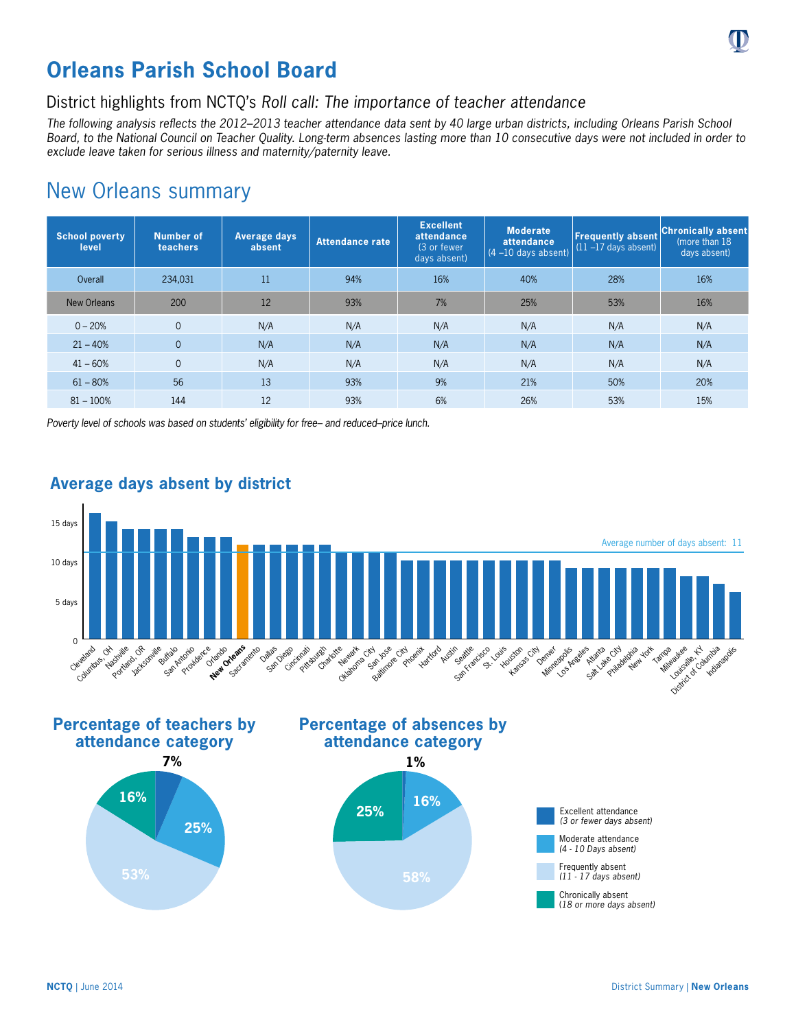

### District highlights from NCTQ's *Roll call: The importance of teacher attendance*

*The following analysis reflects the 2012–2013 teacher attendance data sent by 40 large urban districts, including Orleans Parish School Board, to the National Council on Teacher Quality. Long-term absences lasting more than 10 consecutive days were not included in order to exclude leave taken for serious illness and maternity/paternity leave.*

# New Orleans summary

| <b>School poverty</b><br>level | <b>Number of</b><br>teachers | Average days<br>absent | <b>Attendance rate</b> | <b>Excellent</b><br>attendance<br>(3 or fewer<br>days absent) | <b>Moderate</b><br>attendance<br>$(4 - 10$ days absent) | <b>Freguently absent</b><br>$(11 - 17$ days absent) | <b>Chronically absent</b><br>(more than 18)<br>days absent) |
|--------------------------------|------------------------------|------------------------|------------------------|---------------------------------------------------------------|---------------------------------------------------------|-----------------------------------------------------|-------------------------------------------------------------|
| Overall                        | 234,031                      | 11                     | 94%                    | 16%                                                           | 40%                                                     | 28%                                                 | 16%                                                         |
| New Orleans                    | 200                          | 12                     | 93%                    | 7%                                                            | 25%                                                     | 53%                                                 | 16%                                                         |
| $0 - 20%$                      | $\Omega$                     | N/A                    | N/A                    | N/A                                                           | N/A                                                     | N/A                                                 | N/A                                                         |
| $21 - 40%$                     | $\overline{0}$               | N/A                    | N/A                    | N/A                                                           | N/A                                                     | N/A                                                 | N/A                                                         |
| $41 - 60%$                     | $\overline{0}$               | N/A                    | N/A                    | N/A                                                           | N/A                                                     | N/A                                                 | N/A                                                         |
| $61 - 80%$                     | 56                           | 13                     | 93%                    | 9%                                                            | 21%                                                     | 50%                                                 | 20%                                                         |
| $81 - 100%$                    | 144                          | 12                     | 93%                    | 6%                                                            | 26%                                                     | 53%                                                 | 15%                                                         |

*Poverty level of schools was based on students' eligibility for free– and reduced–price lunch.*



#### **Average days absent by district**

**Percentage of teachers by attendance category**



## **Percentage of absences by attendance category**





Excellent attendance *(3 or fewer days absent)* Moderate attendance *(4 - 10 Days absent)* Frequently absent *(11 - 17 days absent)* Chronically absent (*18 or more days absent)*